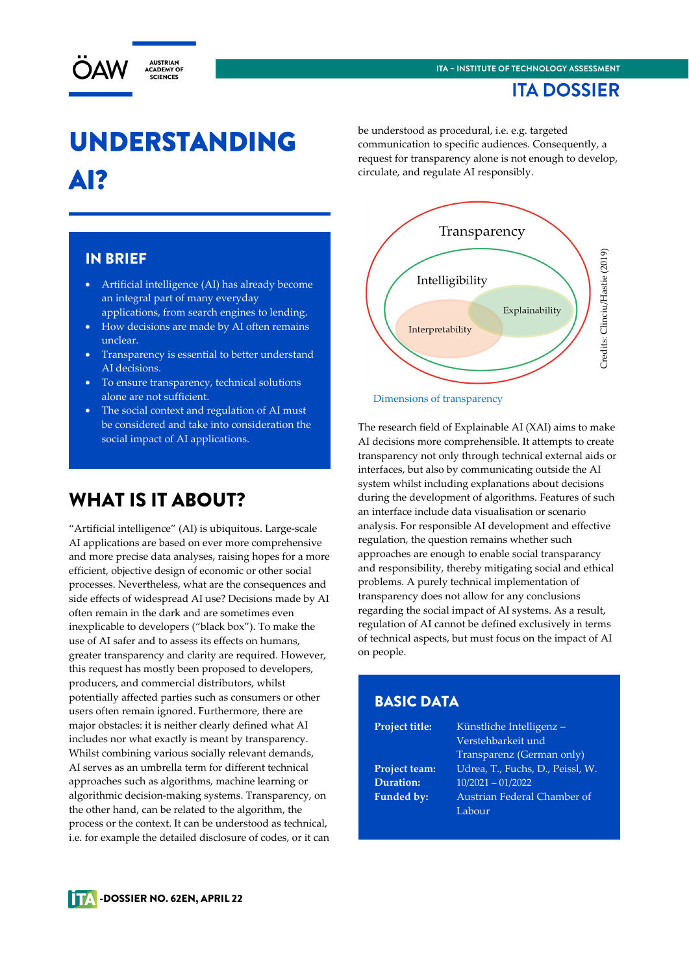## **ITA DOSSIER**



# UNDERSTANDING AI?

be understood as procedural, i.e. e.g. targeted communication to specific audiences. Consequently, a request for transparency alone is not enough to develop, circulate, and regulate AI responsibly.

#### IN BRIEF

- Artificial intelligence (AI) has already become an integral part of many everyday applications, from search engines to lending.
- How decisions are made by AI often remains unclear.
- Transparency is essential to better understand AI decisions.
- To ensure transparency, technical solutions alone are not sufficient.
- The social context and regulation of AI must be considered and take into consideration the social impact of AI applications.

# WHAT IS IT ABOUT?

"Artificial intelligence" (AI) is ubiquitous. Large-scale AI applications are based on ever more comprehensive and more precise data analyses, raising hopes for a more efficient, objective design of economic or other social processes. Nevertheless, what are the consequences and side effects of widespread AI use? Decisions made by AI often remain in the dark and are sometimes even inexplicable to developers ("black box"). To make the use of AI safer and to assess its effects on humans, greater transparency and clarity are required. However, this request has mostly been proposed to developers, producers, and commercial distributors, whilst potentially affected parties such as consumers or other users often remain ignored. Furthermore, there are major obstacles: it is neither clearly defined what AI includes nor what exactly is meant by transparency. Whilst combining various socially relevant demands, AI serves as an umbrella term for different technical approaches such as algorithms, machine learning or algorithmic decision-making systems. Transparency, on the other hand, can be related to the algorithm, the process or the context. It can be understood as technical, i.e. for example the detailed disclosure of codes, or it can



Dimensions of transparency

The research field of Explainable AI (XAI) aims to make AI decisions more comprehensible. It attempts to create transparency not only through technical external aids or interfaces, but also by communicating outside the AI system whilst including explanations about decisions during the development of algorithms. Features of such an interface include data visualisation or scenario analysis. For responsible AI development and effective regulation, the question remains whether such approaches are enough to enable social transparancy and responsibility, thereby mitigating social and ethical problems. A purely technical implementation of transparency does not allow for any conclusions regarding the social impact of AI systems. As a result, regulation of AI cannot be defined exclusively in terms of technical aspects, but must focus on the impact of AI on people.

#### BASIC DATA

**Project title:** Künstliche Intelligenz – Verstehbarkeit und Transparenz (German only) **Project team:** Udrea, T., Fuchs, D., Peissl, W. **Duration:** 10/2021 – 01/2022 **Funded by:** Austrian Federal Chamber of Labour